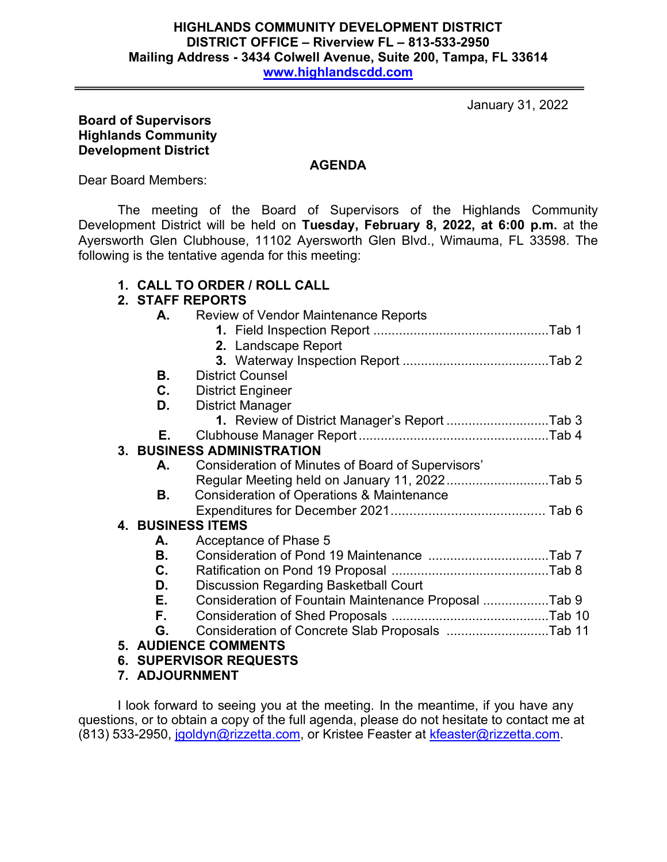#### **HIGHLANDS COMMUNITY DEVELOPMENT DISTRICT DISTRICT OFFICE – Riverview FL – 813-533-2950 Mailing Address - 3434 Colwell Avenue, Suite 200, Tampa, FL 33614 [www.highlandscdd.com](http://www.highlandscdd.com/)**

January 31, 2022

### **Board of Supervisors Highlands Community Development District**

**AGENDA**

Dear Board Members:

The meeting of the Board of Supervisors of the Highlands Community Development District will be held on **Tuesday, February 8, 2022, at 6:00 p.m.** at the Ayersworth Glen Clubhouse, 11102 Ayersworth Glen Blvd., Wimauma, FL 33598. The following is the tentative agenda for this meeting:

# **1. CALL TO ORDER / ROLL CALL**

## **2. STAFF REPORTS**

| А.                                | <b>Review of Vendor Maintenance Reports</b>          |  |  |
|-----------------------------------|------------------------------------------------------|--|--|
|                                   |                                                      |  |  |
|                                   | 2. Landscape Report                                  |  |  |
|                                   |                                                      |  |  |
| В.                                | <b>District Counsel</b>                              |  |  |
| C.                                | <b>District Engineer</b>                             |  |  |
| D.                                | <b>District Manager</b>                              |  |  |
|                                   | 1. Review of District Manager's Report Tab 3         |  |  |
| Е.                                |                                                      |  |  |
| <b>3. BUSINESS ADMINISTRATION</b> |                                                      |  |  |
| А.                                | Consideration of Minutes of Board of Supervisors'    |  |  |
|                                   | Regular Meeting held on January 11, 2022Tab 5        |  |  |
| В.                                | Consideration of Operations & Maintenance            |  |  |
|                                   |                                                      |  |  |
|                                   | <b>4. BUSINESS ITEMS</b>                             |  |  |
| А.                                | Acceptance of Phase 5                                |  |  |
| В.                                |                                                      |  |  |
| C.                                |                                                      |  |  |
| D.                                | <b>Discussion Regarding Basketball Court</b>         |  |  |
| Е.                                | Consideration of Fountain Maintenance Proposal Tab 9 |  |  |
| F.                                |                                                      |  |  |
| G.                                |                                                      |  |  |
|                                   | <b>5. AUDIENCE COMMENTS</b>                          |  |  |
|                                   | <b>6. SUPERVISOR REQUESTS</b>                        |  |  |

**7. ADJOURNMENT**

I look forward to seeing you at the meeting. In the meantime, if you have any questions, or to obtain a copy of the full agenda, please do not hesitate to contact me at (813) 533-2950, [jgoldyn@rizzetta.com,](mailto:jgoldyn@rizzetta.com) or Kristee Feaster at [kfeaster@rizzetta.com.](mailto:kfeaster@rizzetta.com)